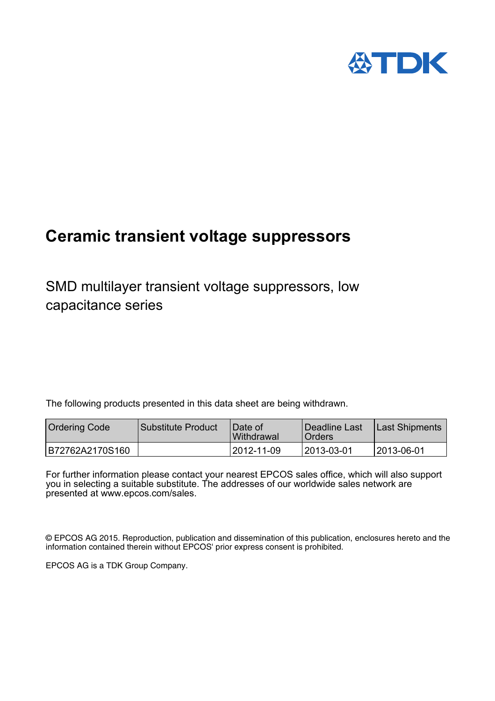

# **Ceramic transient voltage suppressors**

SMD multilayer transient voltage suppressors, low capacitance series

The following products presented in this data sheet are being withdrawn.

| Ordering Code   | Substitute Product | IDate of<br><b>Withdrawal</b> | Deadline Last<br><sup>1</sup> Orders | Last Shipments |
|-----------------|--------------------|-------------------------------|--------------------------------------|----------------|
| B72762A2170S160 |                    | 12012-11-09                   | 12013-03-01                          | 12013-06-01    |

For further information please contact your nearest EPCOS sales office, which will also support you in selecting a suitable substitute. The addresses of our worldwide sales network are presented at www.epcos.com/sales.

© EPCOS AG 2015. Reproduction, publication and dissemination of this publication, enclosures hereto and the information contained therein without EPCOS' prior express consent is prohibited.

EPCOS AG is a TDK Group Company.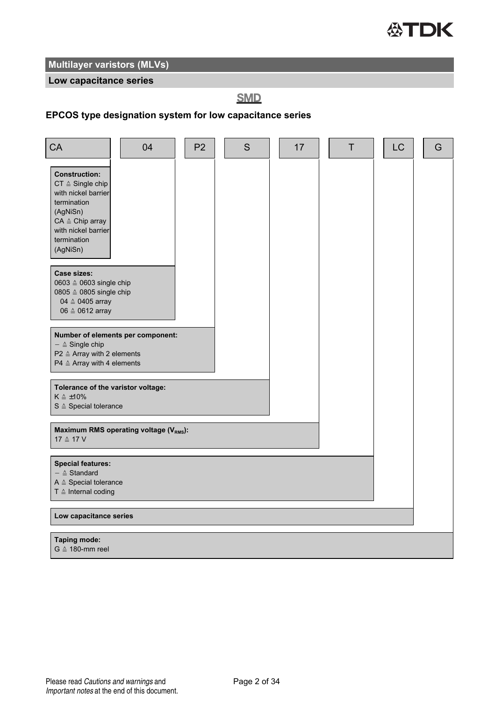

#### **Low capacitance series**

**SMD** 

#### **EPCOS type designation system for low capacitance series**

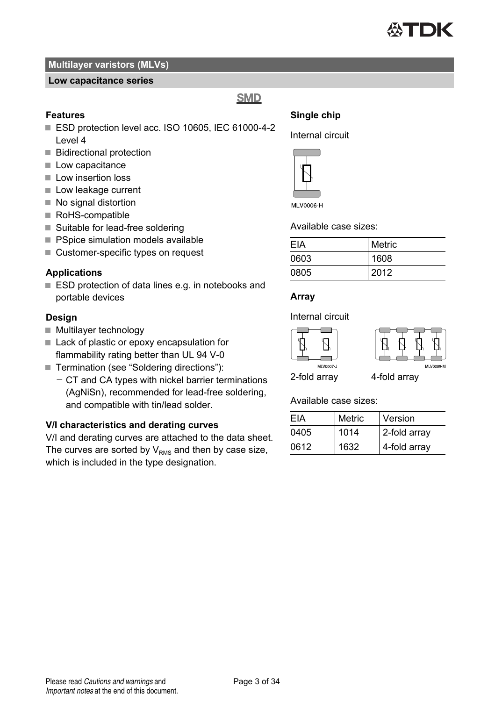

#### **Low capacitance series**

**SMD** 

#### **Features**

- ESD protection level acc. ISO 10605, IEC 61000-4-2 Level 4
- **Bidirectional protection**
- **Low capacitance**
- Low insertion loss
- Low leakage current
- No signal distortion
- RoHS-compatible
- Suitable for lead-free soldering
- **PSpice simulation models available**
- Customer-specific types on request

#### **Applications**

■ ESD protection of data lines e.g. in notebooks and portable devices

#### **Design**

- Multilayer technology
- Lack of plastic or epoxy encapsulation for flammability rating better than UL 94 V-0
- Termination (see "Soldering directions"):
	- $-$  CT and CA types with nickel barrier terminations (AgNiSn), recommended for lead-free soldering, and compatible with tin/lead solder.

#### **V/I characteristics and derating curves**

V/I and derating curves are attached to the data sheet. The curves are sorted by  $V_{\text{PMS}}$  and then by case size, which is included in the type designation.

### **Single chip** Internal circuit



Available case sizes:

| FIA  | <b>Metric</b> |
|------|---------------|
| 0603 | 1608          |
| 0805 | 2012          |

#### **Array**

Internal circuit





2-fold array 4-fold array

Available case sizes:

| FIA  | Metric | Version      |
|------|--------|--------------|
| 0405 | 1014   | 2-fold array |
| 0612 | 1632   | 4-fold array |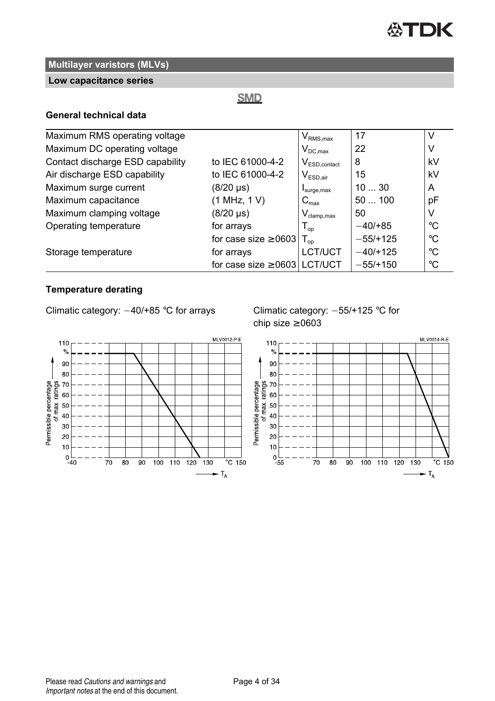

#### **Low capacitance series**

### **SMD**

#### **General technical data**

| Maximum RMS operating voltage    |                                   | $V_{\text{RMS},\text{max}}$              | 17         |             |
|----------------------------------|-----------------------------------|------------------------------------------|------------|-------------|
| Maximum DC operating voltage     |                                   | $V_{DC,max}$                             | 22         |             |
| Contact discharge ESD capability | to IEC 61000-4-2                  | $V_{ESD,contact}$                        | 8          | kV          |
| Air discharge ESD capability     | to IEC 61000-4-2                  | $\mathsf{V}_{\mathsf{ESD},\mathsf{air}}$ | 15         | kV          |
| Maximum surge current            | $(8/20 \,\mu s)$                  | I <sub>surface,max</sub>                 | 1030       | A           |
| Maximum capacitance              | (1 MHz, 1 V)                      | $C_{\text{max}}$                         | 50100      | pF          |
| Maximum clamping voltage         | $(8/20 \,\mu s)$                  | $V_{\text{clamp,max}}$                   | 50         | V           |
| Operating temperature            | for arrays                        | $T_{\text{op}}$                          | $-40/+85$  | $^{\circ}C$ |
|                                  | for case size $\geq 0603$         | $\mathsf{T}_{\mathsf{op}}$               | $-55/+125$ | $^{\circ}C$ |
| Storage temperature              | for arrays                        | LCT/UCT                                  | $-40/+125$ | $^{\circ}C$ |
|                                  | for case size $\geq 0603$ LCT/UCT |                                          | $-55/+150$ | $^{\circ}C$ |

### **Temperature derating**

Climatic category:  $-40/+85$  °C for arrays Climatic category:  $-55/+125$  °C for



chip size  $\geq 0603$ 

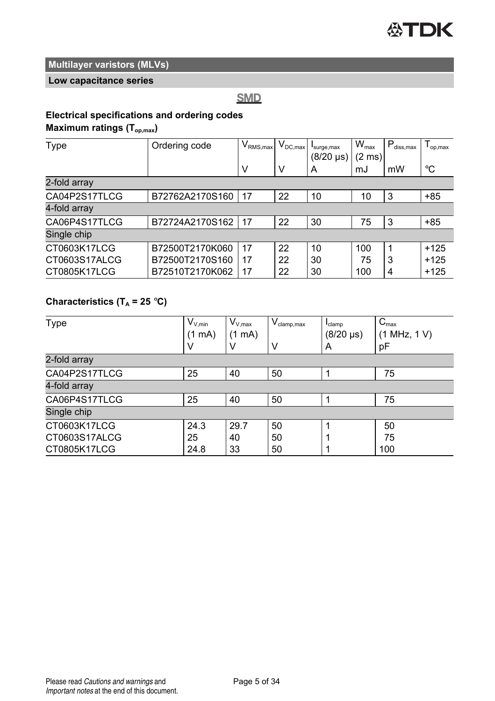

#### **Low capacitance series**

**SMD** 

### **Electrical specifications and ordering codes**

**Maximum ratings (Top,max)**

| Type          | Ordering code   | $IV_{\rm RMS,max}$ | $V_{DC,max}$ | surge, max<br>$(8/20 \text{ }\mu\text{s})$ | $W_{\text{max}}$<br>$(2 \text{ ms})$ | $P_{diss,max}$ | op,max      |
|---------------|-----------------|--------------------|--------------|--------------------------------------------|--------------------------------------|----------------|-------------|
|               |                 | ν                  | ν            | A                                          | mJ                                   | mW             | $^{\circ}C$ |
| 2-fold array  |                 |                    |              |                                            |                                      |                |             |
| CA04P2S17TLCG | B72762A2170S160 | 17                 | 22           | 10                                         | 10                                   | 3              | $+85$       |
| 4-fold array  |                 |                    |              |                                            |                                      |                |             |
| CA06P4S17TLCG | B72724A2170S162 | 17                 | 22           | 30                                         | 75                                   | 3              | $+85$       |
| Single chip   |                 |                    |              |                                            |                                      |                |             |
| CT0603K17LCG  | B72500T2170K060 | 17                 | 22           | 10                                         | 100                                  | 1              | $+125$      |
| CT0603S17ALCG | B72500T2170S160 | 17                 | 22           | 30                                         | 75                                   | 3              | $+125$      |
| CT0805K17LCG  | B72510T2170K062 | 17                 | 22           | 30                                         | 100                                  | 4              | $+125$      |

### **Characteristics (T<sup>A</sup> = 25** °**C)**

| Type          | $V_{V,min}$<br>(1 mA) | $V_{V,max}$<br>(1 mA) | $V_{\text{clamp,max}}$ | $I_{\text{clamp}}$<br>$(8/20 \text{ }\mu\text{s})$ | $C_{\text{max}}$<br>(1 MHz, 1 V) |
|---------------|-----------------------|-----------------------|------------------------|----------------------------------------------------|----------------------------------|
|               | ٧                     | V                     | V                      | A                                                  | рF                               |
| 2-fold array  |                       |                       |                        |                                                    |                                  |
| CA04P2S17TLCG | 25                    | 40                    | 50                     |                                                    | 75                               |
| 4-fold array  |                       |                       |                        |                                                    |                                  |
| CA06P4S17TLCG | 25                    | 40                    | 50                     |                                                    | 75                               |
| Single chip   |                       |                       |                        |                                                    |                                  |
| CT0603K17LCG  | 24.3                  | 29.7                  | 50                     |                                                    | 50                               |
| CT0603S17ALCG | 25                    | 40                    | 50                     |                                                    | 75                               |
| CT0805K17LCG  | 24.8                  | 33                    | 50                     |                                                    | 100                              |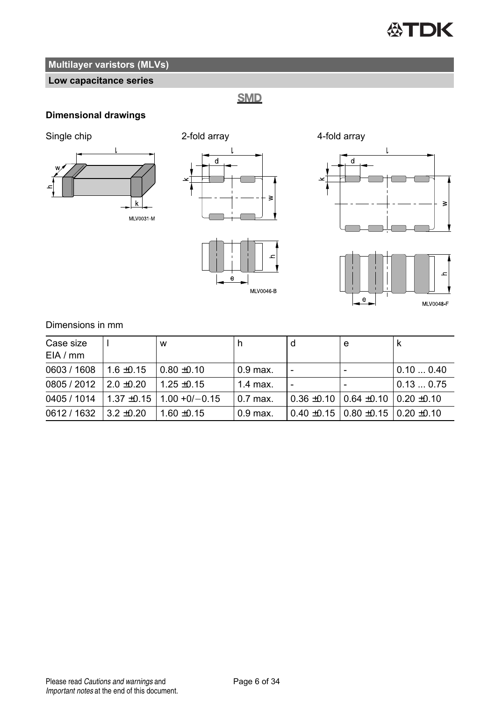# **公TDK**

### **Multilayer varistors (MLVs)**

### **Low capacitance series**

**SMD** 

### **Dimensional drawings**



MLV0046-B

MLV0048 F

 $\mathbf{e}$ 

Dimensions in mm

| Case size<br>EIA/mm     |                | W                                        |            | е                                                   |          |
|-------------------------|----------------|------------------------------------------|------------|-----------------------------------------------------|----------|
| 0603 / 1608             | $1.6 \pm 0.15$ | $0.80 + 0.10$                            | $0.9$ max. |                                                     | 0.100.40 |
| $0805/2012$ 2.0 ±0.20   |                | $1.25 + 0.15$                            | $1.4$ max. |                                                     | 0.130.75 |
|                         |                | $0405/1014$   1.37 ±0.15   1.00 +0/-0.15 | $0.7$ max. | $0.36 \pm 0.10$   0.64 $\pm 0.10$   0.20 $\pm 0.10$ |          |
| $0612 / 1632$ 3.2 ±0.20 |                | $1.60 + 0.15$                            | $0.9$ max. | $0.40 \pm 0.15$ 0.80 $\pm 0.15$ 0.20 $\pm 0.10$     |          |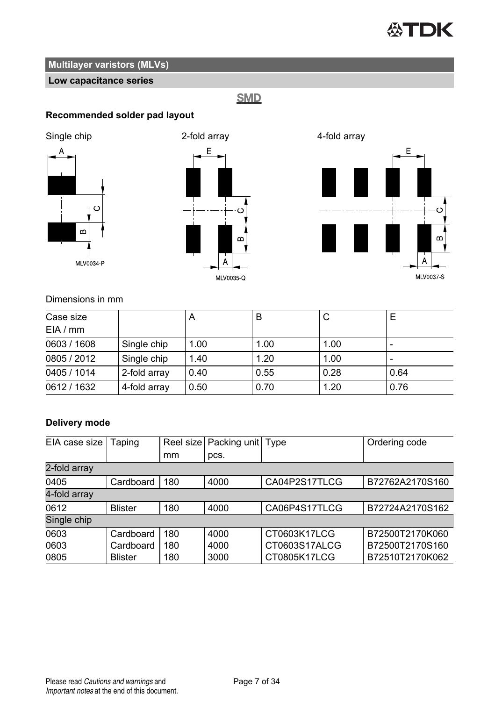# **公TDK**

### **Multilayer varistors (MLVs)**

### **Low capacitance series**

**SMD** 

### **Recommended solder pad layout**







### Dimensions in mm

| Case size<br>EIA/mm |              | $\overline{A}$ | в    | С    |      |
|---------------------|--------------|----------------|------|------|------|
| 0603 / 1608         | Single chip  | 1.00           | 1.00 | 1.00 |      |
| 0805 / 2012         | Single chip  | 1.40           | 1.20 | 1.00 |      |
| 0405 / 1014         | 2-fold array | 0.40           | 0.55 | 0.28 | 0.64 |
| 0612 / 1632         | 4-fold array | 0.50           | 0.70 | 1.20 | 0.76 |

### **Delivery mode**

| EIA case size | Taping         |     | Reel size Packing unit Type |               | Ordering code   |  |  |  |
|---------------|----------------|-----|-----------------------------|---------------|-----------------|--|--|--|
|               |                | mm  | pcs.                        |               |                 |  |  |  |
| 2-fold array  |                |     |                             |               |                 |  |  |  |
| 0405          | Cardboard      | 180 | 4000                        | CA04P2S17TLCG | B72762A2170S160 |  |  |  |
| 4-fold array  |                |     |                             |               |                 |  |  |  |
| 0612          | <b>Blister</b> | 180 | 4000                        | CA06P4S17TLCG | B72724A2170S162 |  |  |  |
| Single chip   |                |     |                             |               |                 |  |  |  |
| 0603          | Cardboard      | 180 | 4000                        | CT0603K17LCG  | B72500T2170K060 |  |  |  |
| 0603          | Cardboard      | 180 | 4000                        | CT0603S17ALCG | B72500T2170S160 |  |  |  |
| 0805          | <b>Blister</b> | 180 | 3000                        | CT0805K17LCG  | B72510T2170K062 |  |  |  |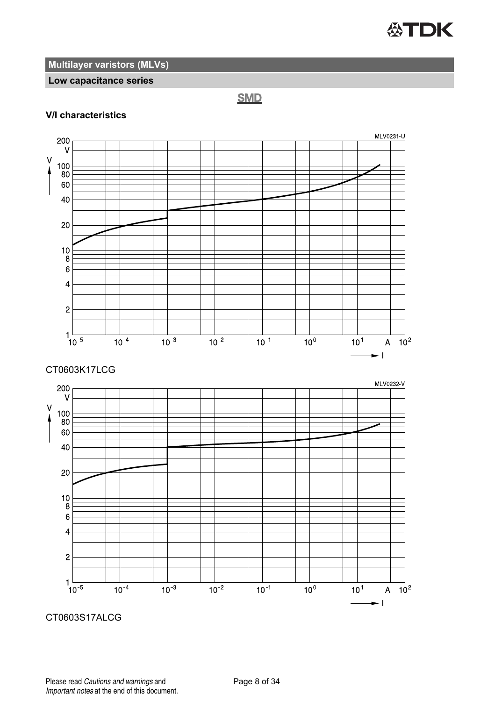

#### **Low capacitance series**

**SMD** 

#### **V/I characteristics**



CT0603S17ALCG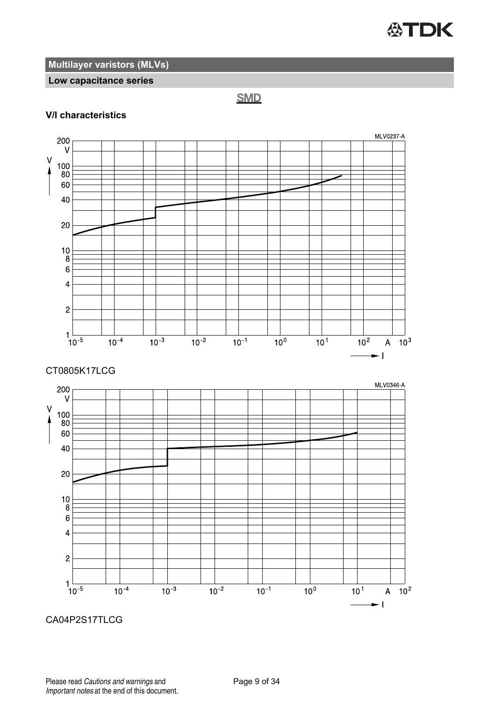

#### **Low capacitance series**

**SMD** 

#### **V/I characteristics**



#### CT0805K17LCG



CA04P2S17TLCG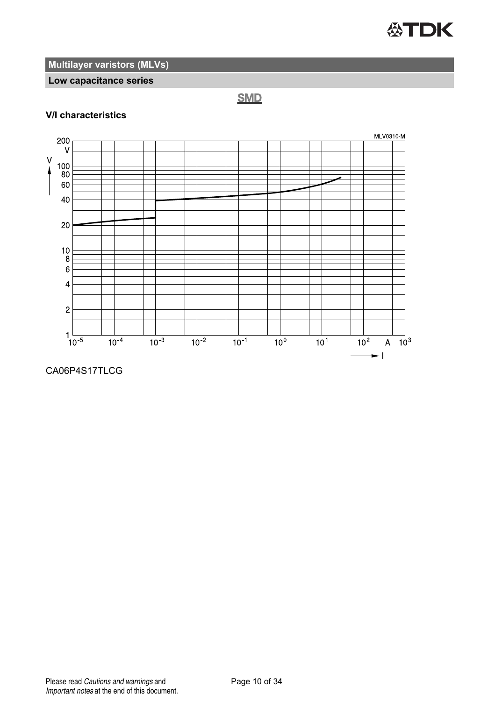

#### **Low capacitance series**

**SMD** 

### **V/I characteristics**



#### CA06P4S17TLCG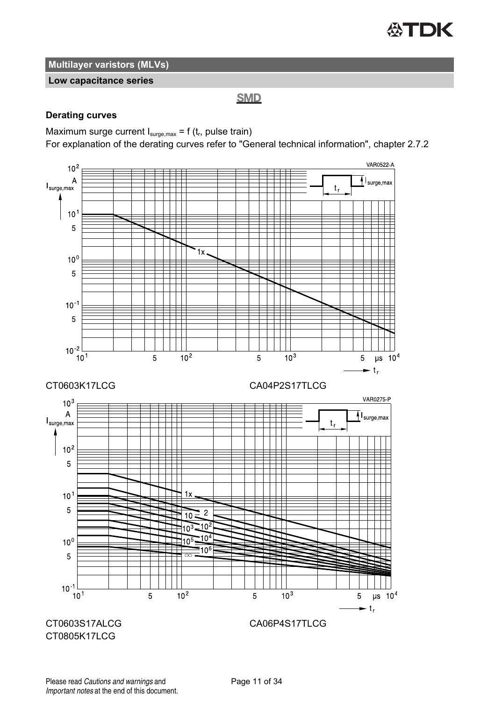

#### **Low capacitance series**

**SMD** 

#### **Derating curves**

Maximum surge current  $I_{\text{surge,max}}$  = f (t<sub>r</sub>, pulse train)

For explanation of the derating curves refer to "General technical information", chapter 2.7.2

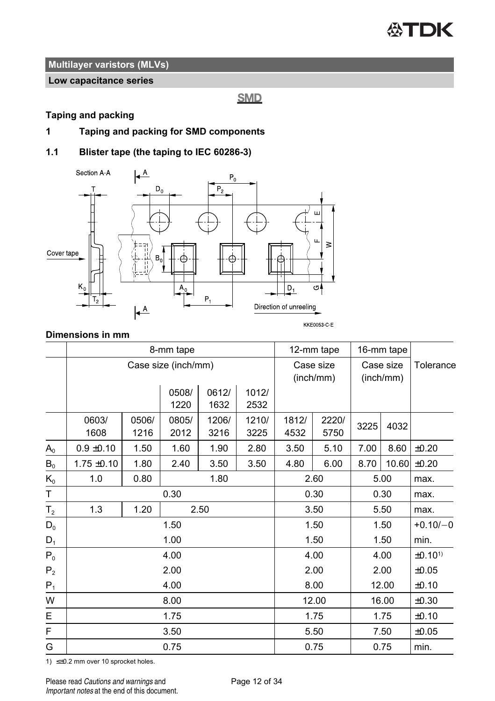

#### **Low capacitance series**

**SMD** 

#### **Taping and packing**

**1 Taping and packing for SMD components**

#### **1.1 Blister tape (the taping to IEC 60286-3)**



#### **Dimensions in mm**

|                |                     |               | 8-mm tape     |               | 12-mm tape    |               | 16-mm tape             |      |                        |                    |
|----------------|---------------------|---------------|---------------|---------------|---------------|---------------|------------------------|------|------------------------|--------------------|
|                | Case size (inch/mm) |               |               |               |               |               | Case size<br>(inch/mm) |      | Case size<br>(inch/mm) | Tolerance          |
|                |                     |               | 0508/<br>1220 | 0612/<br>1632 | 1012/<br>2532 |               |                        |      |                        |                    |
|                | 0603/<br>1608       | 0506/<br>1216 | 0805/<br>2012 | 1206/<br>3216 | 1210/<br>3225 | 1812/<br>4532 | 2220/<br>5750          | 3225 | 4032                   |                    |
| $A_0$          | $0.9 \pm 0.10$      | 1.50          | 1.60          | 1.90          | 2.80          | 3.50          | 5.10                   | 7.00 | 8.60                   | ±0.20              |
| $B_0$          | $1.75 \pm 0.10$     | 1.80          | 2.40          | 3.50          | 3.50          | 4.80          | 6.00                   | 8.70 | 10.60                  | ±0.20              |
| $K_0$          | 1.0                 | 0.80          |               | 1.80          |               |               | 2.60                   |      | 5.00                   | max.               |
| T              | 0.30                |               |               |               |               | 0.30          |                        | 0.30 | max.                   |                    |
| T <sub>2</sub> | 1.3                 | 1.20          |               | 2.50          |               |               | 3.50                   |      | 5.50                   | max.               |
| $D_0$          |                     |               | 1.50          |               |               |               | 1.50                   |      | 1.50                   | $+0.10/-0$         |
| $D_1$          |                     |               | 1.00          |               |               |               | 1.50                   |      | 1.50                   | min.               |
| $P_0$          |                     |               | 4.00          |               |               |               | 4.00                   |      | 4.00                   | ±0.10 <sup>1</sup> |
| P <sub>2</sub> | 2.00                |               |               |               |               |               | 2.00                   |      | 2.00                   | ±0.05              |
| $P_1$          | 4.00                |               |               |               |               | 8.00          |                        |      | 12.00                  | ±0.10              |
| W              | 8.00                |               |               |               |               |               | 12.00                  |      | 16.00                  | ±0.30              |
| E              | 1.75                |               |               |               |               |               | 1.75                   |      | 1.75                   | ±0.10              |
| F              |                     |               | 3.50          |               |               |               | 5.50                   |      | 7.50                   | ±0.05              |
| G              |                     |               | 0.75          |               |               |               | 0.75                   |      | 0.75                   | min.               |

1) ≤±0.2 mm over 10 sprocket holes.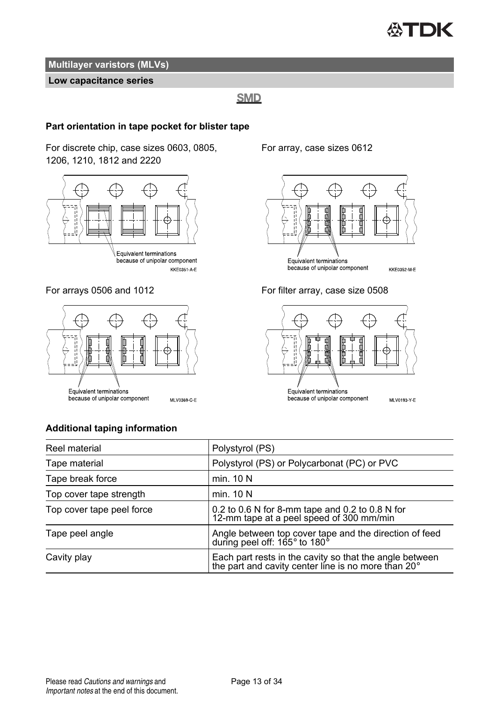

#### **Low capacitance series**

#### **SMD**

#### **Part orientation in tape pocket for blister tape**

For discrete chip, case sizes 0603, 0805, 1206, 1210, 1812 and 2220



because of unipolar component KKE0351-A-E



For array, case sizes 0612



For arrays 0506 and 1012 For filter array, case size 0508



#### **Additional taping information**

Reel material **Polystyrol** (PS) Tape material Polystyrol (PS) or Polycarbonat (PC) or PVC Tape break force min. 10 N Top cover tape strength min. 10 N Top cover tape peel force  $0.2$  to 0.6 N for 8-mm tape and 0.2 to 0.8 N for 12-mm tape at a peel speed of 300 mm/min Tape peel angle **Angle between top cover tape and the direction of feed**<br>during peel off: 165° to 180° Cavity play Each part rests in the cavity so that the angle between the part and cavity center line is no more than 20°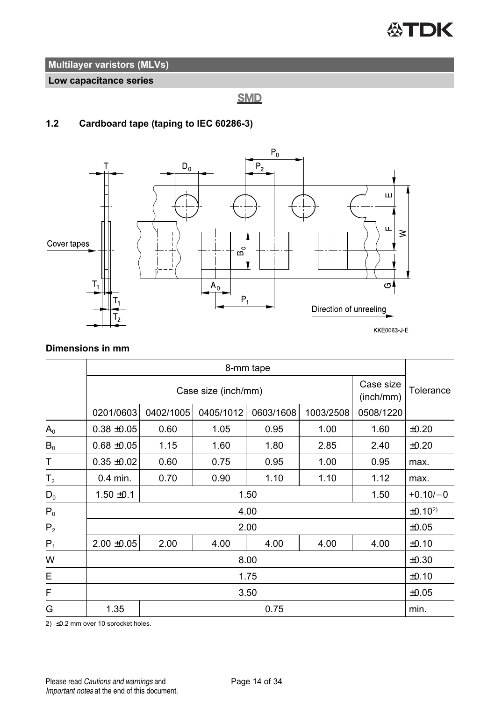

**Low capacitance series**

**SMD** 

### **1.2 Cardboard tape (taping to IEC 60286-3)**



**Dimensions in mm**

|                | 8-mm tape       |                                               |           |           |           |           |                    |
|----------------|-----------------|-----------------------------------------------|-----------|-----------|-----------|-----------|--------------------|
|                |                 | Case size<br>Case size (inch/mm)<br>(inch/mm) |           |           |           |           |                    |
|                | 0201/0603       | 0402/1005                                     | 0405/1012 | 0603/1608 | 1003/2508 | 0508/1220 |                    |
| $A_0$          | $0.38 + 0.05$   | 0.60                                          | 1.05      | 0.95      | 1.00      | 1.60      | $\pm 0.20$         |
| $B_0$          | $0.68 + 0.05$   | 1.15                                          | 1.60      | 1.80      | 2.85      | 2.40      | $\pm 0.20$         |
| Т              | $0.35 + 0.02$   | 0.60                                          | 0.75      | 0.95      | 1.00      | 0.95      | max.               |
| T <sub>2</sub> | $0.4$ min.      | 0.70                                          | 0.90      | 1.10      | 1.10      | 1.12      | max.               |
| $\mathsf{D}_0$ | $1.50 \pm 0.1$  |                                               |           | 1.50      |           | 1.50      | $+0.10/-0$         |
| $P_0$          |                 |                                               |           | 4.00      |           |           | ±0.10 <sup>2</sup> |
| P <sub>2</sub> |                 |                                               |           | 2.00      |           |           | $\pm 0.05$         |
| $P_1$          | $2.00 \pm 0.05$ | 2.00                                          | 4.00      | 4.00      | 4.00      | 4.00      | ±0.10              |
| W              | 8.00            |                                               |           |           |           |           | $\pm 0.30$         |
| E              | 1.75            |                                               |           |           |           |           | ±0.10              |
| F              | 3.50            |                                               |           |           |           |           | $\pm 0.05$         |
| G              | 1.35            |                                               |           | 0.75      |           |           | min.               |

2) ≤0.2 mm over 10 sprocket holes.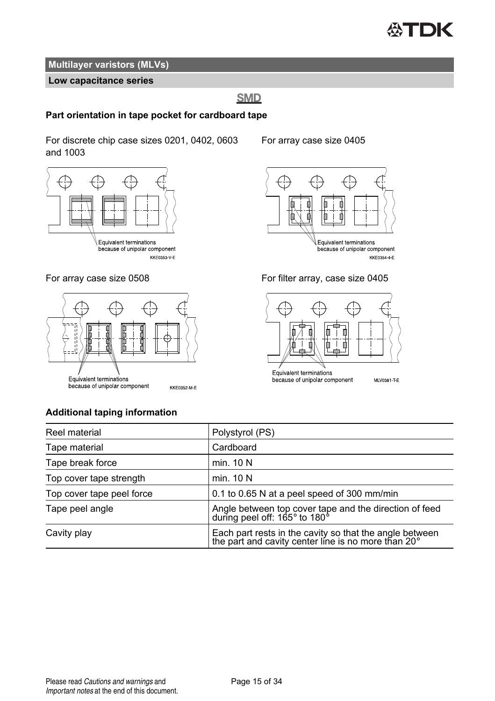

#### **Low capacitance series**

### **SMD**

#### **Part orientation in tape pocket for cardboard tape**

For discrete chip case sizes 0201, 0402, 0603 and 1003







#### For array case size 0405









#### **Additional taping information**

| Reel material             | Polystyrol (PS)                                                                                                      |
|---------------------------|----------------------------------------------------------------------------------------------------------------------|
| Tape material             | Cardboard                                                                                                            |
| Tape break force          | min. 10 N                                                                                                            |
| Top cover tape strength   | min. 10 N                                                                                                            |
| Top cover tape peel force | 0.1 to 0.65 N at a peel speed of 300 mm/min                                                                          |
| Tape peel angle           | Angle between top cover tape and the direction of feed<br>during peel off: 165° to 180°                              |
| Cavity play               | Each part rests in the cavity so that the angle between the part and cavity center line is no more than $20^{\circ}$ |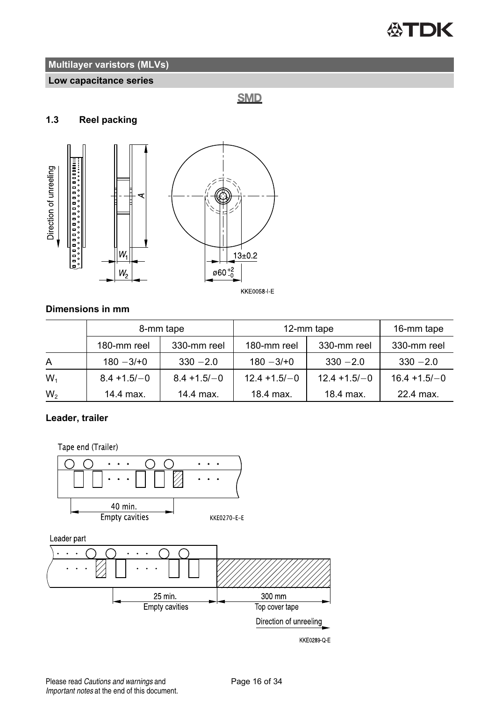

#### **Low capacitance series**

**SMD** 

#### **1.3 Reel packing**



#### **Dimensions in mm**

|                | 8-mm tape      |                | 12-mm tape      | 16-mm tape      |                 |
|----------------|----------------|----------------|-----------------|-----------------|-----------------|
|                | 180-mm reel    | 330-mm reel    | 180-mm reel     | 330-mm reel     | 330-mm reel     |
| A              | $180 - 3/10$   | $330 - 2.0$    | $180 - 3/10$    | $330 - 2.0$     | $330 - 2.0$     |
| $W_1$          | $8.4 + 1.5/-0$ | $8.4 + 1.5/-0$ | $12.4 + 1.5/-0$ | $12.4 + 1.5/-0$ | $16.4 + 1.5/-0$ |
| W <sub>2</sub> | 14.4 max.      | 14.4 max.      | 18.4 max.       | 18.4 max.       | 22.4 max.       |

### **Leader, trailer**

Tape end (Trailer)

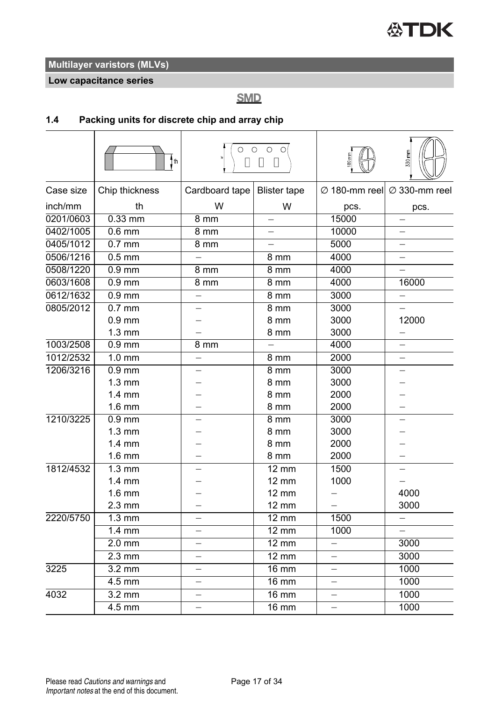**Low capacitance series**

**SMD** 

### **1.4 Packing units for discrete chip and array chip**

|           | i th                | П                        | $\circ$ $\circ$ $\circ$ $\circ$<br>$\Box$<br>П |                          | 330 mm                                              |
|-----------|---------------------|--------------------------|------------------------------------------------|--------------------------|-----------------------------------------------------|
| Case size | Chip thickness      | Cardboard tape           | <b>Blister tape</b>                            |                          | $\varnothing$ 180-mm reel $\varnothing$ 330-mm reel |
| inch/mm   | th                  | W                        | W                                              | pcs.                     | pcs.                                                |
| 0201/0603 | $0.33$ mm           | 8 mm                     |                                                | 15000                    |                                                     |
| 0402/1005 | $0.6$ mm            | 8 mm                     | $\equiv$                                       | 10000                    | $\equiv$                                            |
| 0405/1012 | $0.7$ mm            | 8 mm                     | $\equiv$                                       | 5000                     | $\overline{\phantom{0}}$                            |
| 0506/1216 | $0.5$ mm            |                          | 8 mm                                           | 4000                     | $\overline{\phantom{0}}$                            |
| 0508/1220 | $0.9$ mm            | 8 mm                     | 8 mm                                           | 4000                     |                                                     |
| 0603/1608 | $0.9$ mm            | 8 mm                     | $\overline{8}$ mm                              | 4000                     | 16000                                               |
| 0612/1632 | $0.9$ mm            | —                        | 8 mm                                           | 3000                     | -                                                   |
| 0805/2012 | $0.7$ mm            |                          | $8 \,\mathrm{mm}$                              | 3000                     |                                                     |
|           | $0.9$ mm            |                          | 8 mm                                           | 3000                     | 12000                                               |
|           | $1.3 \text{ mm}$    |                          | 8 mm                                           | 3000                     | $\overline{\phantom{0}}$                            |
| 1003/2508 | $0.9$ mm            | 8 mm                     |                                                | 4000                     |                                                     |
| 1012/2532 | $\overline{1.0}$ mm |                          | 8 mm                                           | 2000                     |                                                     |
| 1206/3216 | $0.9$ mm            |                          | 8 mm                                           | 3000                     |                                                     |
|           | $1.3 \text{ mm}$    |                          | 8 mm                                           | 3000                     |                                                     |
|           | $1.4 \text{ mm}$    |                          | 8 mm                                           | 2000                     |                                                     |
|           | $1.6 \text{ mm}$    |                          | 8 mm                                           | 2000                     |                                                     |
| 1210/3225 | $0.9$ mm            |                          | 8 mm                                           | 3000                     |                                                     |
|           | $1.3 \text{ mm}$    |                          | 8 mm                                           | 3000                     |                                                     |
|           | $1.4 \text{ mm}$    |                          | 8 mm                                           | 2000                     |                                                     |
|           | $1.6 \text{ mm}$    |                          | 8 mm                                           | 2000                     |                                                     |
| 1812/4532 | $\overline{1.3}$ mm |                          | $12 \text{ mm}$                                | 1500                     |                                                     |
|           | $1.4 \text{ mm}$    |                          | $12 \text{ mm}$                                | 1000                     | $\overline{\phantom{0}}$                            |
|           | 1.6 mm              |                          | $12 \text{ mm}$                                |                          | 4000                                                |
|           | $2.3 \text{ mm}$    |                          | 12 mm                                          |                          | 3000                                                |
| 2220/5750 | $1.3 \text{ mm}$    |                          | $12 \text{ mm}$                                | 1500                     | $\overline{\phantom{0}}$                            |
|           | $1.4 \text{ mm}$    |                          | $12 \text{ mm}$                                | 1000                     |                                                     |
|           | $2.0$ mm            |                          | $12 \text{ mm}$                                |                          | 3000                                                |
|           | $2.3 \text{ mm}$    |                          | $12 \text{ mm}$                                | $\equiv$                 | 3000                                                |
| 3225      | $3.2 \text{ mm}$    |                          | $16 \text{ mm}$                                | $\overline{\phantom{0}}$ | 1000                                                |
|           | $4.5$ mm            | $\overline{\phantom{0}}$ | $16 \text{ mm}$                                | $\overline{\phantom{0}}$ | 1000                                                |
| 4032      | $3.2 \text{ mm}$    |                          | $16 \text{ mm}$                                | $\overline{\phantom{0}}$ | 1000                                                |
|           | 4.5 mm              |                          | $16 \text{ mm}$                                | $\overline{\phantom{0}}$ | 1000                                                |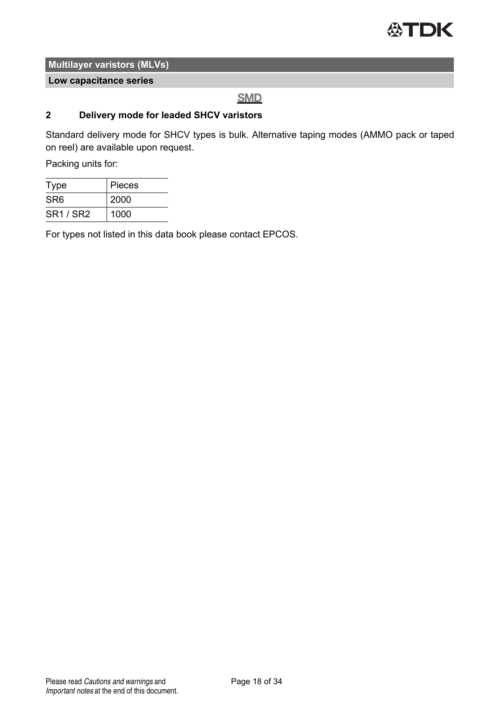

**Low capacitance series**

### **SMD**

#### **2 Delivery mode for leaded SHCV varistors**

Standard delivery mode for SHCV types is bulk. Alternative taping modes (AMMO pack or taped on reel) are available upon request.

Packing units for:

| Type            | Pieces |  |  |
|-----------------|--------|--|--|
| SR <sub>6</sub> | 2000   |  |  |
| <b>SR1/SR2</b>  | 1000   |  |  |

For types not listed in this data book please contact EPCOS.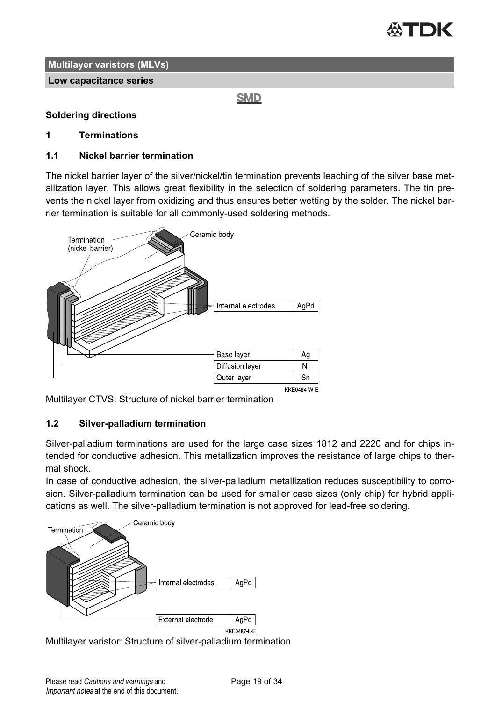

**Low capacitance series**

**SMD** 

#### **Soldering directions**

#### **1 Terminations**

#### **1.1 Nickel barrier termination**

The nickel barrier layer of the silver/nickel/tin termination prevents leaching of the silver base metallization layer. This allows great flexibility in the selection of soldering parameters. The tin prevents the nickel layer from oxidizing and thus ensures better wetting by the solder. The nickel barrier termination is suitable for all commonly-used soldering methods.



KKF0484 W F

Multilayer CTVS: Structure of nickel barrier termination

#### **1.2 Silver-palladium termination**

Silver-palladium terminations are used for the large case sizes 1812 and 2220 and for chips intended for conductive adhesion. This metallization improves the resistance of large chips to thermal shock.

In case of conductive adhesion, the silver-palladium metallization reduces susceptibility to corrosion. Silver-palladium termination can be used for smaller case sizes (only chip) for hybrid applications as well. The silver-palladium termination is not approved for lead-free soldering.



Multilayer varistor: Structure of silver-palladium termination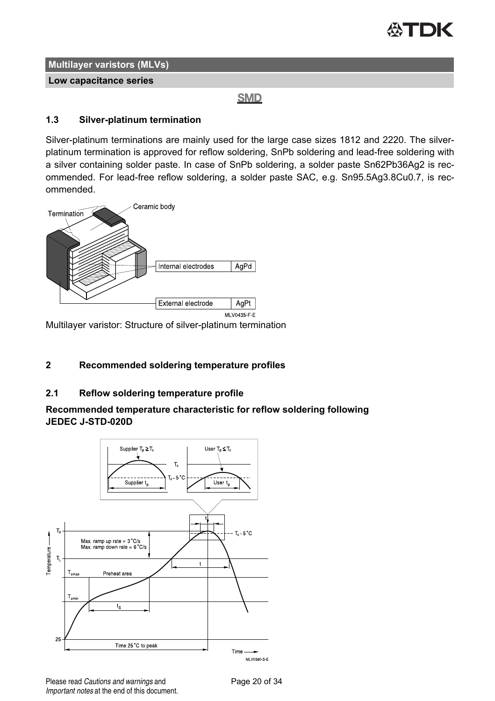

**Low capacitance series**

**SMD** 

#### **1.3 Silver-platinum termination**

Silver-platinum terminations are mainly used for the large case sizes 1812 and 2220. The silverplatinum termination is approved for reflow soldering, SnPb soldering and lead-free soldering with a silver containing solder paste. In case of SnPb soldering, a solder paste Sn62Pb36Ag2 is recommended. For lead-free reflow soldering, a solder paste SAC, e.g. Sn95.5Ag3.8Cu0.7, is recommended.



Multilayer varistor: Structure of silver-platinum termination

### **2 Recommended soldering temperature profiles**

#### **2.1 Reflow soldering temperature profile**

#### **Recommended temperature characteristic for reflow soldering following JEDEC J-STD-020D**



Please read Cautions and warnings and <br>
Page 20 of 34 Important notes at the end of this document.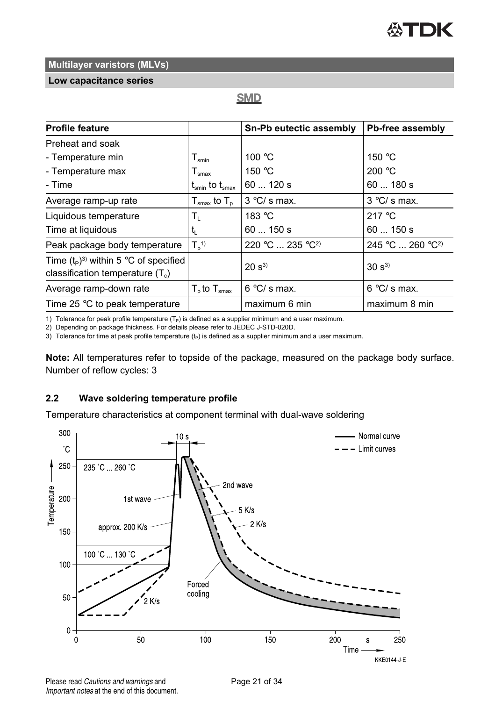#### **Low capacitance series**

### **SMD**

| <b>Profile feature</b>                                                        |                                                                  | Sn-Pb eutectic assembly | Pb-free assembly             |
|-------------------------------------------------------------------------------|------------------------------------------------------------------|-------------------------|------------------------------|
| Preheat and soak                                                              |                                                                  |                         |                              |
| - Temperature min                                                             | ${\mathsf T}_{\textsf{smin}}$                                    | 100 °C                  | 150 $\degree$ C              |
| - Temperature max                                                             | $T_{\sf smax}$                                                   | 150 °C                  | 200 °C                       |
| - Time                                                                        | $\mathfrak{t}_{\mathsf{smin}}$ to $\mathfrak{t}_{\mathsf{smax}}$ | 60120s                  | 60180s                       |
| Average ramp-up rate                                                          | $T_{\rm smax}$ to $T_{\rm n}$                                    | $3^{\circ}$ C/s max.    | $3^{\circ}$ C/s max.         |
| Liquidous temperature                                                         | T,                                                               | 183 °C                  | 217 $\degree$ C              |
| Time at liquidous                                                             | t,                                                               | 60150s                  | 60150s                       |
| Peak package body temperature                                                 | $T_p$ <sup>1)</sup>                                              | $220 °C  235 °C^2$      | 245 °C  260 °C <sup>2)</sup> |
| Time $(t_P)^3$ within 5 °C of specified<br>classification temperature $(T_c)$ |                                                                  | $20 s^{3}$              | $30 s^{3}$                   |
| Average ramp-down rate                                                        | $T_{p}$ to $T_{\text{smax}}$                                     | $6 °C/s$ max.           | $6^{\circ}$ C/s max.         |
| Time 25 °C to peak temperature                                                |                                                                  | maximum 6 min           | maximum 8 min                |

1) Tolerance for peak profile temperature  $(T_P)$  is defined as a supplier minimum and a user maximum.

2) Depending on package thickness. For details please refer to JEDEC J-STD-020D.

3) Tolerance for time at peak profile temperature  $(t_P)$  is defined as a supplier minimum and a user maximum.

**Note:** All temperatures refer to topside of the package, measured on the package body surface. Number of reflow cycles: 3

#### **2.2 Wave soldering temperature profile**

Temperature characteristics at component terminal with dual-wave soldering



Please read Cautions and warnings and <br>
Page 21 of 34 Important notes at the end of this document.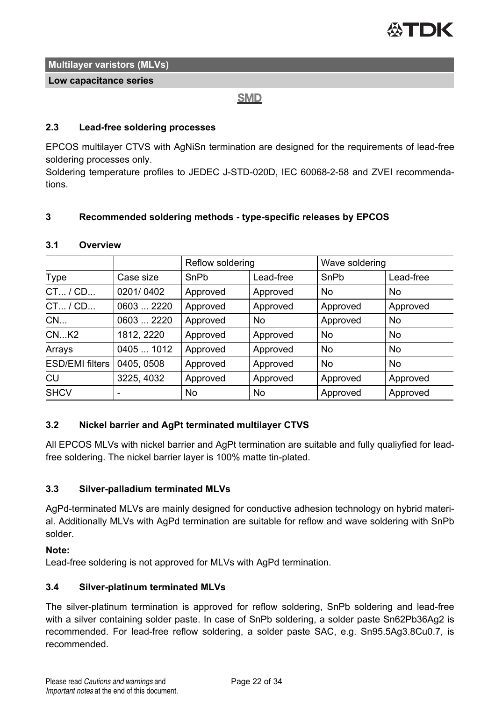

#### **Low capacitance series**

#### **SMD**

#### **2.3 Lead-free soldering processes**

EPCOS multilayer CTVS with AgNiSn termination are designed for the requirements of lead-free soldering processes only.

Soldering temperature profiles to JEDEC J-STD-020D, IEC 60068-2-58 and ZVEI recommendations.

#### **3 Recommended soldering methods - type-specific releases by EPCOS**

#### **3.1 Overview**

|                        |            | Reflow soldering |           | Wave soldering |           |
|------------------------|------------|------------------|-----------|----------------|-----------|
| Type                   | Case size  | SnPb             | Lead-free | SnPb           | Lead-free |
| $CT_{}/CD_{}$          | 0201/0402  | Approved         | Approved  | No             | No        |
| $CT_{}/CD_{}$          | 0603  2220 | Approved         | Approved  | Approved       | Approved  |
| CN                     | 0603  2220 | Approved         | No        | Approved       | No        |
| $CN$ $K2$              | 1812, 2220 | Approved         | Approved  | No             | No        |
| Arrays                 | 0405  1012 | Approved         | Approved  | No             | No        |
| <b>ESD/EMI filters</b> | 0405, 0508 | Approved         | Approved  | No             | No        |
| CU                     | 3225, 4032 | Approved         | Approved  | Approved       | Approved  |
| <b>SHCV</b>            |            | No               | No        | Approved       | Approved  |

#### **3.2 Nickel barrier and AgPt terminated multilayer CTVS**

All EPCOS MLVs with nickel barrier and AgPt termination are suitable and fully qualiyfied for leadfree soldering. The nickel barrier layer is 100% matte tin-plated.

#### **3.3 Silver-palladium terminated MLVs**

AgPd-terminated MLVs are mainly designed for conductive adhesion technology on hybrid material. Additionally MLVs with AgPd termination are suitable for reflow and wave soldering with SnPb solder.

#### **Note:**

Lead-free soldering is not approved for MLVs with AgPd termination.

#### **3.4 Silver-platinum terminated MLVs**

The silver-platinum termination is approved for reflow soldering, SnPb soldering and lead-free with a silver containing solder paste. In case of SnPb soldering, a solder paste Sn62Pb36Ag2 is recommended. For lead-free reflow soldering, a solder paste SAC, e.g. Sn95.5Ag3.8Cu0.7, is recommended.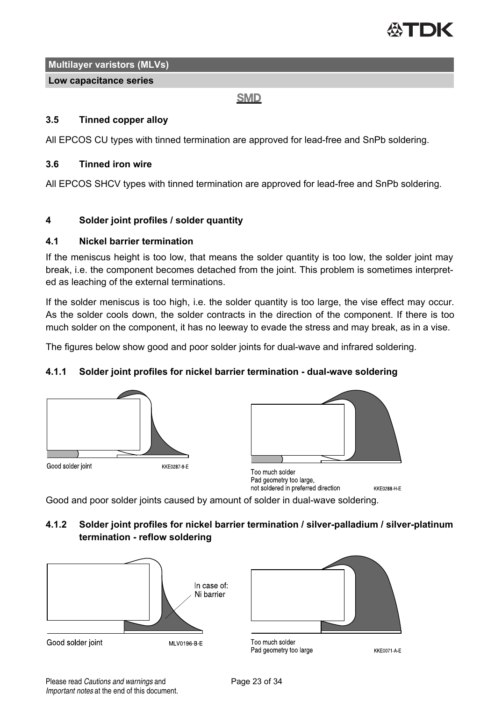

#### **Low capacitance series**

**SMD** 

#### **3.5 Tinned copper alloy**

All EPCOS CU types with tinned termination are approved for lead-free and SnPb soldering.

#### **3.6 Tinned iron wire**

All EPCOS SHCV types with tinned termination are approved for lead-free and SnPb soldering.

#### **4 Solder joint profiles / solder quantity**

#### **4.1 Nickel barrier termination**

If the meniscus height is too low, that means the solder quantity is too low, the solder joint may break, i.e. the component becomes detached from the joint. This problem is sometimes interpreted as leaching of the external terminations.

If the solder meniscus is too high, i.e. the solder quantity is too large, the vise effect may occur. As the solder cools down, the solder contracts in the direction of the component. If there is too much solder on the component, it has no leeway to evade the stress and may break, as in a vise.

The figures below show good and poor solder joints for dual-wave and infrared soldering.

#### **4.1.1 Solder joint profiles for nickel barrier termination - dual-wave soldering**





Too much solder Pad geometry too large, not soldered in preferred direction **KKE0288 H E** 

Good and poor solder joints caused by amount of solder in dual-wave soldering.

**4.1.2 Solder joint profiles for nickel barrier termination / silver-palladium / silver-platinum termination - reflow soldering**





Too much solder Pad geometry too large

**KKE0071 A E**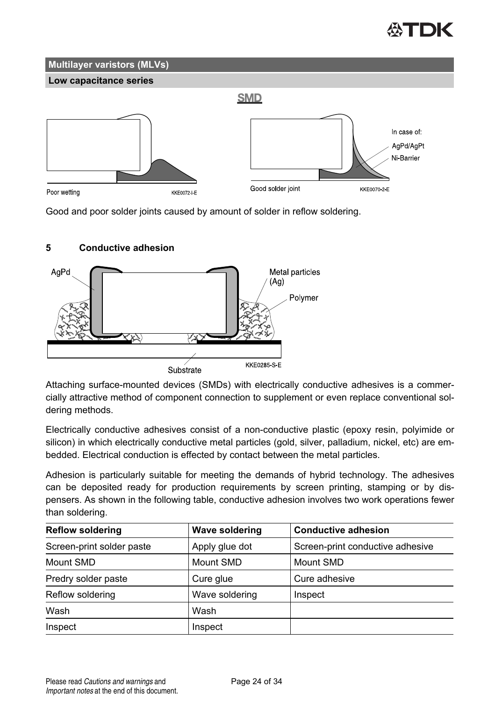## **Multilayer varistors (MLVs) Low capacitance series SMD** In case of: AaPd/AaPt Ni-Barrier Good solder joint KKE0070-2-E Poor wetting **KKF0072 LF**

Good and poor solder joints caused by amount of solder in reflow soldering.

### **5 Conductive adhesion**



Attaching surface-mounted devices (SMDs) with electrically conductive adhesives is a commercially attractive method of component connection to supplement or even replace conventional soldering methods.

Electrically conductive adhesives consist of a non-conductive plastic (epoxy resin, polyimide or silicon) in which electrically conductive metal particles (gold, silver, palladium, nickel, etc) are embedded. Electrical conduction is effected by contact between the metal particles.

Adhesion is particularly suitable for meeting the demands of hybrid technology. The adhesives can be deposited ready for production requirements by screen printing, stamping or by dispensers. As shown in the following table, conductive adhesion involves two work operations fewer than soldering.

| <b>Reflow soldering</b>   | <b>Wave soldering</b> | <b>Conductive adhesion</b>       |
|---------------------------|-----------------------|----------------------------------|
| Screen-print solder paste | Apply glue dot        | Screen-print conductive adhesive |
| Mount SMD                 | Mount SMD             | Mount SMD                        |
| Predry solder paste       | Cure glue             | Cure adhesive                    |
| Reflow soldering          | Wave soldering        | Inspect                          |
| Wash                      | Wash                  |                                  |
| Inspect                   | Inspect               |                                  |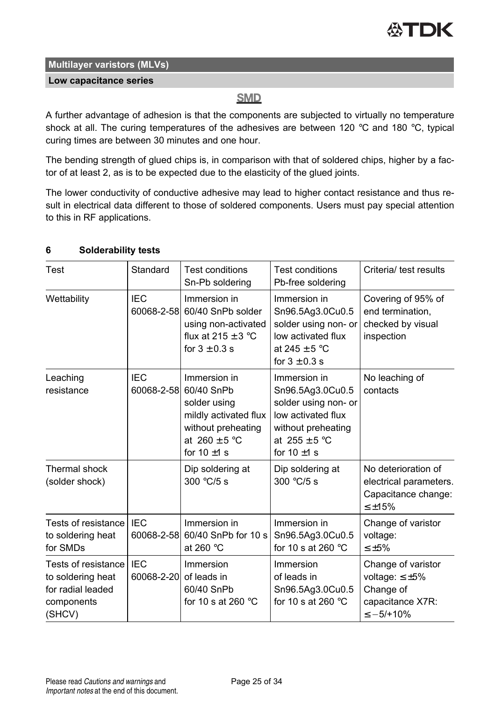#### **Low capacitance series**

### **SMD**

A further advantage of adhesion is that the components are subjected to virtually no temperature shock at all. The curing temperatures of the adhesives are between 120 °C and 180 °C, typical curing times are between 30 minutes and one hour.

The bending strength of glued chips is, in comparison with that of soldered chips, higher by a factor of at least 2, as is to be expected due to the elasticity of the glued joints.

The lower conductivity of conductive adhesive may lead to higher contact resistance and thus result in electrical data different to those of soldered components. Users must pay special attention to this in RF applications.

| 6 | <b>Solderability tests</b> |  |
|---|----------------------------|--|
|---|----------------------------|--|

| Test                                                                                  | Standard                 | <b>Test conditions</b><br>Sn-Pb soldering                                                                                          | <b>Test conditions</b><br>Pb-free soldering                                                                                                          | Criteria/ test results                                                                           |
|---------------------------------------------------------------------------------------|--------------------------|------------------------------------------------------------------------------------------------------------------------------------|------------------------------------------------------------------------------------------------------------------------------------------------------|--------------------------------------------------------------------------------------------------|
| Wettability                                                                           | IFC.<br>60068-2-58       | Immersion in<br>60/40 SnPb solder<br>using non-activated<br>flux at $215 \pm 3$ °C<br>for $3 \pm 0.3$ s                            | Immersion in<br>Sn96.5Ag3.0Cu0.5<br>solder using non- or<br>low activated flux<br>at $245 \pm 5$ °C<br>for $3 \pm 0.3$ s                             | Covering of 95% of<br>end termination,<br>checked by visual<br>inspection                        |
| Leaching<br>resistance                                                                | <b>IEC</b><br>60068-2-58 | Immersion in<br>60/40 SnPb<br>solder using<br>mildly activated flux<br>without preheating<br>at $260 \pm 5$ °C<br>for 10 $\pm$ 1 s | Immersion in<br>Sn96.5Ag3.0Cu0.5<br>solder using non- or<br>low activated flux<br>without preheating<br>at $255 \pm 5^{\circ}$ C<br>for $10 \pm 1$ s | No leaching of<br>contacts                                                                       |
| Thermal shock<br>(solder shock)                                                       |                          | Dip soldering at<br>300 $°C/5$ s                                                                                                   | Dip soldering at<br>$300 °C/5$ s                                                                                                                     | No deterioration of<br>electrical parameters.<br>Capacitance change:<br>$< +15%$                 |
| Tests of resistance<br>to soldering heat<br>for SMDs                                  | <b>IEC</b><br>60068-2-58 | Immersion in<br>60/40 SnPb for 10 s<br>at 260 $°C$                                                                                 | Immersion in<br>Sn96.5Ag3.0Cu0.5<br>for 10 s at 260 $\degree$ C                                                                                      | Change of varistor<br>voltage:<br>$\leq \pm 5\%$                                                 |
| Tests of resistance<br>to soldering heat<br>for radial leaded<br>components<br>(SHCV) | <b>IEC</b><br>60068-2-20 | Immersion<br>of leads in<br>60/40 SnPb<br>for 10 s at 260 $^{\circ}$ C                                                             | Immersion<br>of leads in<br>Sn96.5Ag3.0Cu0.5<br>for 10 s at 260 $\degree$ C                                                                          | Change of varistor<br>voltage: $\leq \pm 5\%$<br>Change of<br>capacitance X7R:<br>$\le -5/+10\%$ |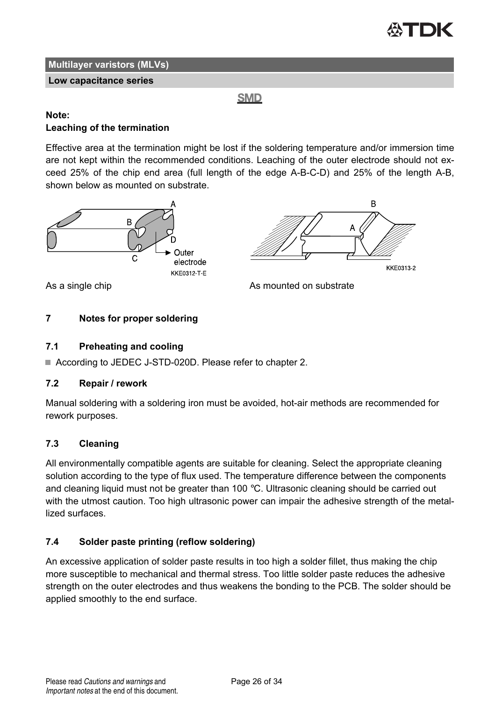

B

**KKE0313-2** 

**Multilayer varistors (MLVs)**

#### **Low capacitance series**

**SMD** 

#### **Note: Leaching of the termination**

Effective area at the termination might be lost if the soldering temperature and/or immersion time are not kept within the recommended conditions. Leaching of the outer electrode should not exceed 25% of the chip end area (full length of the edge A-B-C-D) and 25% of the length A-B, shown below as mounted on substrate.



As a single chip and a substrate As mounted on substrate



#### **7.1 Preheating and cooling**

■ According to JEDEC J-STD-020D. Please refer to chapter 2.

#### **7.2 Repair / rework**

Manual soldering with a soldering iron must be avoided, hot-air methods are recommended for rework purposes.

#### **7.3 Cleaning**

All environmentally compatible agents are suitable for cleaning. Select the appropriate cleaning solution according to the type of flux used. The temperature difference between the components and cleaning liquid must not be greater than 100  $^{\circ}$ C. Ultrasonic cleaning should be carried out with the utmost caution. Too high ultrasonic power can impair the adhesive strength of the metallized surfaces.

#### **7.4 Solder paste printing (reflow soldering)**

An excessive application of solder paste results in too high a solder fillet, thus making the chip more susceptible to mechanical and thermal stress. Too little solder paste reduces the adhesive strength on the outer electrodes and thus weakens the bonding to the PCB. The solder should be applied smoothly to the end surface.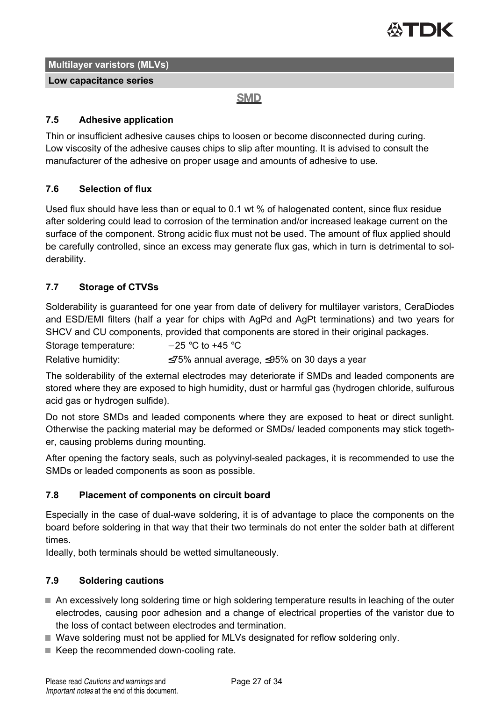

**Low capacitance series**

**SMD** 

#### **7.5 Adhesive application**

Thin or insufficient adhesive causes chips to loosen or become disconnected during curing. Low viscosity of the adhesive causes chips to slip after mounting. It is advised to consult the manufacturer of the adhesive on proper usage and amounts of adhesive to use.

#### **7.6 Selection of flux**

Used flux should have less than or equal to 0.1 wt % of halogenated content, since flux residue after soldering could lead to corrosion of the termination and/or increased leakage current on the surface of the component. Strong acidic flux must not be used. The amount of flux applied should be carefully controlled, since an excess may generate flux gas, which in turn is detrimental to solderability.

### **7.7 Storage of CTVSs**

Solderability is guaranteed for one year from date of delivery for multilayer varistors, CeraDiodes and ESD/EMI filters (half a year for chips with AgPd and AgPt terminations) and two years for SHCV and CU components, provided that components are stored in their original packages.

Storage temperature:  $-25 °C$  to +45 °C

Relative humidity:  $\leq 75\%$  annual average,  $\leq 95\%$  on 30 days a year

The solderability of the external electrodes may deteriorate if SMDs and leaded components are stored where they are exposed to high humidity, dust or harmful gas (hydrogen chloride, sulfurous acid gas or hydrogen sulfide).

Do not store SMDs and leaded components where they are exposed to heat or direct sunlight. Otherwise the packing material may be deformed or SMDs/ leaded components may stick together, causing problems during mounting.

After opening the factory seals, such as polyvinyl-sealed packages, it is recommended to use the SMDs or leaded components as soon as possible.

#### **7.8 Placement of components on circuit board**

Especially in the case of dual-wave soldering, it is of advantage to place the components on the board before soldering in that way that their two terminals do not enter the solder bath at different times.

Ideally, both terminals should be wetted simultaneously.

### **7.9 Soldering cautions**

- An excessively long soldering time or high soldering temperature results in leaching of the outer electrodes, causing poor adhesion and a change of electrical properties of the varistor due to the loss of contact between electrodes and termination.
- Wave soldering must not be applied for MLVs designated for reflow soldering only.
- Keep the recommended down-cooling rate.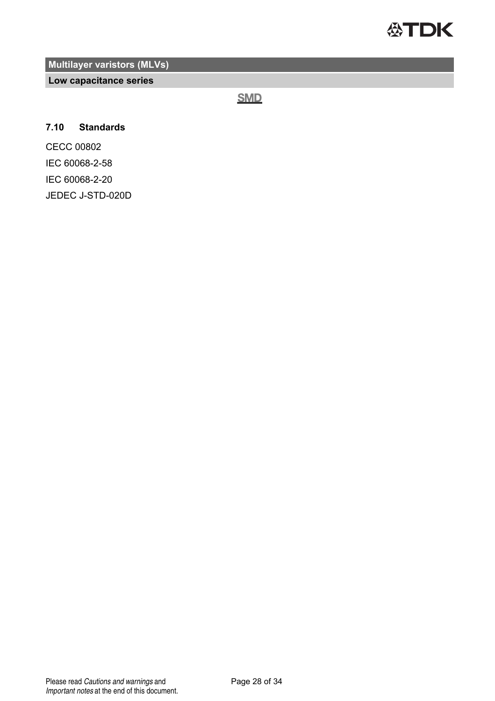

**Low capacitance series**

**SMD** 

#### **7.10 Standards**

CECC 00802 IEC 60068-2-58 IEC 60068-2-20 JEDEC J-STD-020D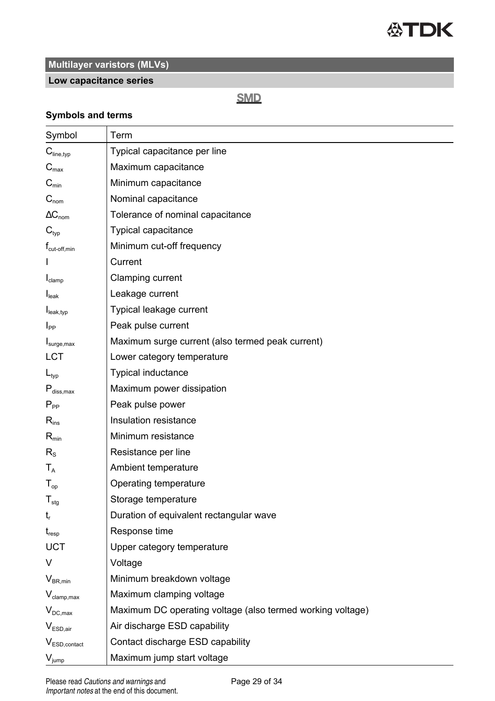

### **Low capacitance series**

### **SMD**

#### **Symbols and terms**

| Symbol                                       | Term                                                       |
|----------------------------------------------|------------------------------------------------------------|
| $C_{\text{line,typ}}$                        | Typical capacitance per line                               |
| $C_{\text{max}}$                             | Maximum capacitance                                        |
| $C_{min}$                                    | Minimum capacitance                                        |
| $\mathbf{C}_{\mathsf{nom}}$                  | Nominal capacitance                                        |
| $\Delta C_{\text{nom}}$                      | Tolerance of nominal capacitance                           |
| $C_{\text{typ}}$                             | Typical capacitance                                        |
| T <sub>cut-off,min</sub>                     | Minimum cut-off frequency                                  |
|                                              | Current                                                    |
| $I_{clamp}$                                  | Clamping current                                           |
| I <sub>leak</sub>                            | Leakage current                                            |
| $I_{\text{leak,typ}}$                        | Typical leakage current                                    |
| $I_{PP}$                                     | Peak pulse current                                         |
| I <sub>sure,max</sub>                        | Maximum surge current (also termed peak current)           |
| <b>LCT</b>                                   | Lower category temperature                                 |
| $L_{\text{typ}}$                             | Typical inductance                                         |
| $P_{\text{diss,max}}$                        | Maximum power dissipation                                  |
| $P_{\sf pp}$                                 | Peak pulse power                                           |
| $R_{ins}$                                    | Insulation resistance                                      |
| $R_{\text{min}}$                             | Minimum resistance                                         |
| $R_{S}$                                      | Resistance per line                                        |
| $T_{A}$                                      | Ambient temperature                                        |
| $T_{op}$                                     | Operating temperature                                      |
| $T_{\text{stq}}$                             | Storage temperature                                        |
| $t_{r}$                                      | Duration of equivalent rectangular wave                    |
| $t_{resp}$                                   | Response time                                              |
| <b>UCT</b>                                   | Upper category temperature                                 |
| V                                            | Voltage                                                    |
| $V_{BR,min}$                                 | Minimum breakdown voltage                                  |
| $V_{\text{clamp,max}}$                       | Maximum clamping voltage                                   |
| $V_{DC,max}$                                 | Maximum DC operating voltage (also termed working voltage) |
| $V_{ESD,air}$                                | Air discharge ESD capability                               |
| $\mathsf{V}_{\mathsf{ESD}.\mathsf{contact}}$ | Contact discharge ESD capability                           |
| $V_{jump}$                                   | Maximum jump start voltage                                 |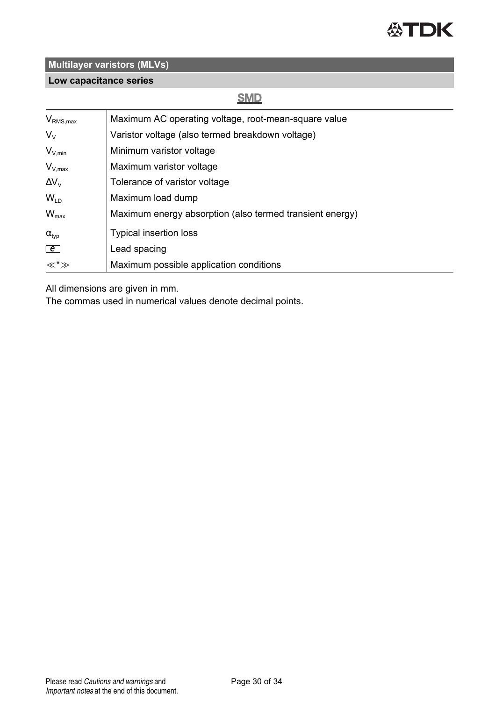

### **Low capacitance series**

### **SMD**

| $V_{\text{RMS},\text{max}}$ | Maximum AC operating voltage, root-mean-square value     |
|-----------------------------|----------------------------------------------------------|
| $V_{\vee}$                  | Varistor voltage (also termed breakdown voltage)         |
| $V_{V,min}$                 | Minimum varistor voltage                                 |
| $V_{V,max}$                 | Maximum varistor voltage                                 |
| $\Delta V_{V}$              | Tolerance of varistor voltage                            |
| $W_{LD}$                    | Maximum load dump                                        |
| $W_{\text{max}}$            | Maximum energy absorption (also termed transient energy) |
| $\alpha_{\text{typ}}$       | <b>Typical insertion loss</b>                            |
| $\epsilon$                  | Lead spacing                                             |
| ≪*≫                         | Maximum possible application conditions                  |

All dimensions are given in mm.

The commas used in numerical values denote decimal points.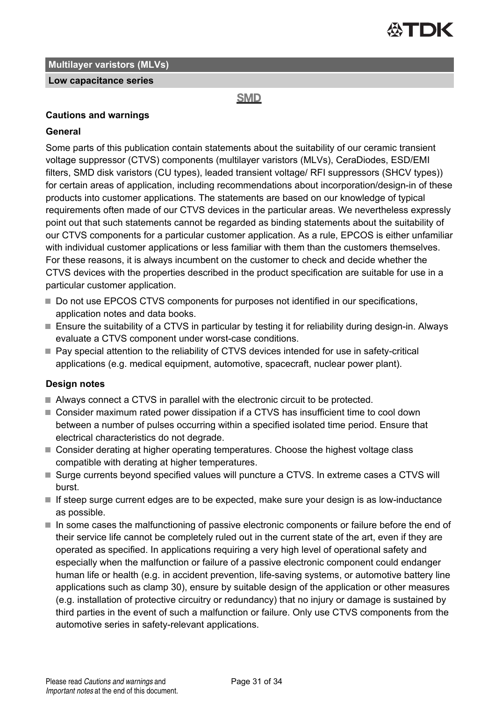

#### **Low capacitance series**

**SMD** 

#### **Cautions and warnings**

#### **General**

Some parts of this publication contain statements about the suitability of our ceramic transient voltage suppressor (CTVS) components (multilayer varistors (MLVs), CeraDiodes, ESD/EMI filters, SMD disk varistors (CU types), leaded transient voltage/ RFI suppressors (SHCV types)) for certain areas of application, including recommendations about incorporation/design-in of these products into customer applications. The statements are based on our knowledge of typical requirements often made of our CTVS devices in the particular areas. We nevertheless expressly point out that such statements cannot be regarded as binding statements about the suitability of our CTVS components for a particular customer application. As a rule, EPCOS is either unfamiliar with individual customer applications or less familiar with them than the customers themselves. For these reasons, it is always incumbent on the customer to check and decide whether the CTVS devices with the properties described in the product specification are suitable for use in a particular customer application.

- Do not use EPCOS CTVS components for purposes not identified in our specifications, application notes and data books.
- Ensure the suitability of a CTVS in particular by testing it for reliability during design-in. Always evaluate a CTVS component under worst-case conditions.
- Pay special attention to the reliability of CTVS devices intended for use in safety-critical applications (e.g. medical equipment, automotive, spacecraft, nuclear power plant).

#### **Design notes**

- Always connect a CTVS in parallel with the electronic circuit to be protected.
- Consider maximum rated power dissipation if a CTVS has insufficient time to cool down between a number of pulses occurring within a specified isolated time period. Ensure that electrical characteristics do not degrade.
- Consider derating at higher operating temperatures. Choose the highest voltage class compatible with derating at higher temperatures.
- Surge currents beyond specified values will puncture a CTVS. In extreme cases a CTVS will burst.
- If steep surge current edges are to be expected, make sure your design is as low-inductance as possible.
- In some cases the malfunctioning of passive electronic components or failure before the end of their service life cannot be completely ruled out in the current state of the art, even if they are operated as specified. In applications requiring a very high level of operational safety and especially when the malfunction or failure of a passive electronic component could endanger human life or health (e.g. in accident prevention, life-saving systems, or automotive battery line applications such as clamp 30), ensure by suitable design of the application or other measures (e.g. installation of protective circuitry or redundancy) that no injury or damage is sustained by third parties in the event of such a malfunction or failure. Only use CTVS components from the automotive series in safety-relevant applications.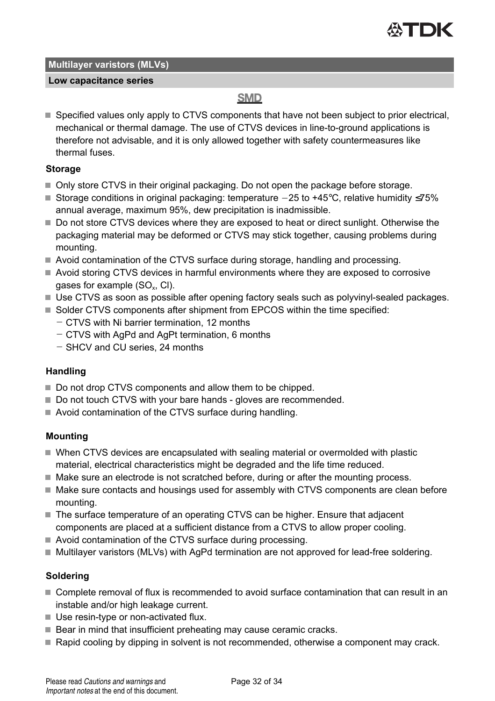

#### **Low capacitance series**

### **SMD**

■ Specified values only apply to CTVS components that have not been subject to prior electrical. mechanical or thermal damage. The use of CTVS devices in line-to-ground applications is therefore not advisable, and it is only allowed together with safety countermeasures like thermal fuses.

#### **Storage**

- Only store CTVS in their original packaging. Do not open the package before storage.
- Storage conditions in original packaging: temperature  $-25$  to  $+45^{\circ}$ C, relative humidity  $\leq 75\%$ annual average, maximum 95%, dew precipitation is inadmissible.
- Do not store CTVS devices where they are exposed to heat or direct sunlight. Otherwise the packaging material may be deformed or CTVS may stick together, causing problems during mounting.
- Avoid contamination of the CTVS surface during storage, handling and processing.
- Avoid storing CTVS devices in harmful environments where they are exposed to corrosive gases for example (SO $_{\sf x}$ , CI).
- Use CTVS as soon as possible after opening factory seals such as polyvinyl-sealed packages.
- Solder CTVS components after shipment from EPCOS within the time specified:
	- CTVS with Ni barrier termination, 12 months
	- CTVS with AgPd and AgPt termination, 6 months
	- SHCV and CU series, 24 months

#### **Handling**

- Do not drop CTVS components and allow them to be chipped.
- Do not touch CTVS with your bare hands gloves are recommended.
- Avoid contamination of the CTVS surface during handling.

#### **Mounting**

- When CTVS devices are encapsulated with sealing material or overmolded with plastic material, electrical characteristics might be degraded and the life time reduced.
- $\blacksquare$  Make sure an electrode is not scratched before, during or after the mounting process.
- $\blacksquare$  Make sure contacts and housings used for assembly with CTVS components are clean before mounting.
- The surface temperature of an operating CTVS can be higher. Ensure that adjacent components are placed at a sufficient distance from a CTVS to allow proper cooling.
- Avoid contamination of the CTVS surface during processing.
- Multilayer varistors (MLVs) with AgPd termination are not approved for lead-free soldering.

#### **Soldering**

- Complete removal of flux is recommended to avoid surface contamination that can result in an instable and/or high leakage current.
- Use resin-type or non-activated flux.
- Bear in mind that insufficient preheating may cause ceramic cracks.
- Rapid cooling by dipping in solvent is not recommended, otherwise a component may crack.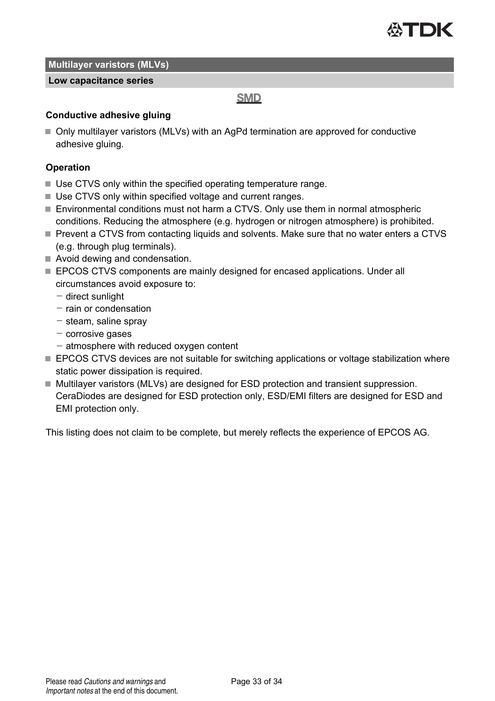

#### **Low capacitance series**

#### **SMD**

#### **Conductive adhesive gluing**

■ Only multilayer varistors (MLVs) with an AgPd termination are approved for conductive adhesive gluing.

#### **Operation**

- Use CTVS only within the specified operating temperature range.
- Use CTVS only within specified voltage and current ranges.
- Environmental conditions must not harm a CTVS. Only use them in normal atmospheric conditions. Reducing the atmosphere (e.g. hydrogen or nitrogen atmosphere) is prohibited.
- Prevent a CTVS from contacting liquids and solvents. Make sure that no water enters a CTVS (e.g. through plug terminals).
- Avoid dewing and condensation.
- **EPCOS CTVS components are mainly designed for encased applications. Under all** circumstances avoid exposure to:
	- $-$  direct sunlight
	- $-$  rain or condensation
	- $-$  steam, saline spray
	- $-$  corrosive gases
	- $-$  atmosphere with reduced oxygen content
- **EPCOS CTVS devices are not suitable for switching applications or voltage stabilization where** static power dissipation is required.
- Multilayer varistors (MLVs) are designed for ESD protection and transient suppression. CeraDiodes are designed for ESD protection only, ESD/EMI filters are designed for ESD and EMI protection only.

This listing does not claim to be complete, but merely reflects the experience of EPCOS AG.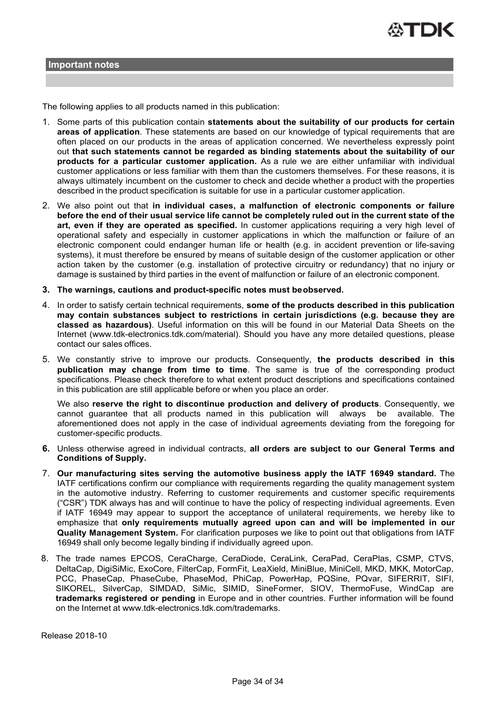

The following applies to all products named in this publication:

- 1. Some parts of this publication contain **statements about the suitability of our products for certain areas of application**. These statements are based on our knowledge of typical requirements that are often placed on our products in the areas of application concerned. We nevertheless expressly point out **that such statements cannot be regarded as binding statements about the suitability of our products for a particular customer application.** As a rule we are either unfamiliar with individual customer applications or less familiar with them than the customers themselves. For these reasons, it is always ultimately incumbent on the customer to check and decide whether a product with the properties described in the product specification is suitable for use in a particular customer application.
- 2. We also point out that **in individual cases, a malfunction of electronic components or failure before the end of their usual service life cannot be completely ruled out in the current state of the art, even if they are operated as specified.** In customer applications requiring a very high level of operational safety and especially in customer applications in which the malfunction or failure of an electronic component could endanger human life or health (e.g. in accident prevention or life-saving systems), it must therefore be ensured by means of suitable design of the customer application or other action taken by the customer (e.g. installation of protective circuitry or redundancy) that no injury or damage is sustained by third parties in the event of malfunction or failure of an electronic component.
- **3. The warnings, cautions and product-specific notes must be observed.**
- 4. In order to satisfy certain technical requirements, **some of the products described in this publication may contain substances subject to restrictions in certain jurisdictions (e.g. because they are classed as hazardous)**. Useful information on this will be found in our Material Data Sheets on the Internet (www.tdk-electronics.tdk.com/material). Should you have any more detailed questions, please contact our sales offices.
- 5. We constantly strive to improve our products. Consequently, **the products described in this publication may change from time to time**. The same is true of the corresponding product specifications. Please check therefore to what extent product descriptions and specifications contained in this publication are still applicable before or when you place an order.

We also **reserve the right to discontinue production and delivery of products**. Consequently, we cannot guarantee that all products named in this publication will always be available. The aforementioned does not apply in the case of individual agreements deviating from the foregoing for customer-specific products.

- **6.** Unless otherwise agreed in individual contracts, **all orders are subject to our General Terms and Conditions of Supply.**
- 7. **Our manufacturing sites serving the automotive business apply the IATF 16949 standard.** The IATF certifications confirm our compliance with requirements regarding the quality management system in the automotive industry. Referring to customer requirements and customer specific requirements ("CSR") TDK always has and will continue to have the policy of respecting individual agreements. Even if IATF 16949 may appear to support the acceptance of unilateral requirements, we hereby like to emphasize that **only requirements mutually agreed upon can and will be implemented in our Quality Management System.** For clarification purposes we like to point out that obligations from IATF 16949 shall only become legally binding if individually agreed upon.
- 8. The trade names EPCOS, CeraCharge, CeraDiode, CeraLink, CeraPad, CeraPlas, CSMP, CTVS, DeltaCap, DigiSiMic, ExoCore, FilterCap, FormFit, LeaXield, MiniBlue, MiniCell, MKD, MKK, MotorCap, PCC, PhaseCap, PhaseCube, PhaseMod, PhiCap, PowerHap, PQSine, PQvar, SIFERRIT, SIFI, SIKOREL, SilverCap, SIMDAD, SiMic, SIMID, SineFormer, SIOV, ThermoFuse, WindCap are **trademarks registered or pending** in Europe and in other countries. Further information will be found on the Internet at www.tdk-electronics.tdk.com/trademarks.

Release 2018-10